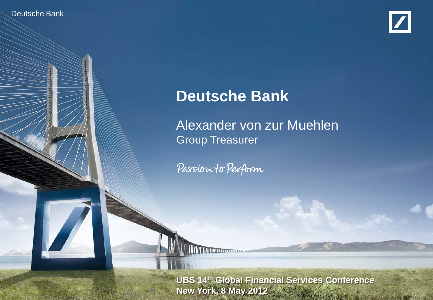Deutsche Banker Investor Relations



# **Deutsche Bank**

Alexander von zur Muehlen Group Treasurer

Passion to Perform

**External CIS 14th Global Financial Services Conference Alexander Victor New York, 8 May 2012**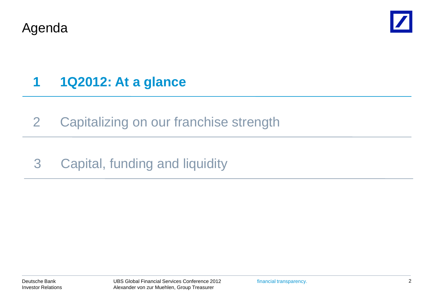Agenda



# **1 1Q2012: At a glance**

2 Capitalizing on our franchise strength

## 3 Capital, funding and liquidity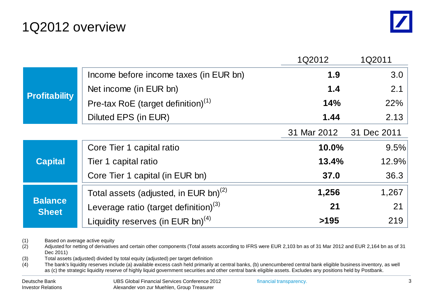### 1Q2012 overview

|                                |                                                   | 1Q2012      | 1Q2011      |
|--------------------------------|---------------------------------------------------|-------------|-------------|
| <b>Profitability</b>           | Income before income taxes (in EUR bn)            | 1.9         | 3.0         |
|                                | Net income (in EUR bn)                            | 1.4         | 2.1         |
|                                | Pre-tax RoE (target definition) $(1)$             | 14%         | 22%         |
|                                | Diluted EPS (in EUR)                              | 1.44        | 2.13        |
|                                |                                                   | 31 Mar 2012 | 31 Dec 2011 |
| <b>Capital</b>                 | Core Tier 1 capital ratio                         | 10.0%       | 9.5%        |
|                                | Tier 1 capital ratio                              | 13.4%       | 12.9%       |
|                                | Core Tier 1 capital (in EUR bn)                   | 37.0        | 36.3        |
| <b>Balance</b><br><b>Sheet</b> | Total assets (adjusted, in EUR bn) <sup>(2)</sup> | 1,256       | 1,267       |
|                                | Leverage ratio (target definition) <sup>(3)</sup> | 21          | 21          |
|                                | Liquidity reserves (in EUR bn) <sup>(4)</sup>     | >195        | 219         |

(1) Based on average active equity

(2) Adjusted for netting of derivatives and certain other components (Total assets according to IFRS were EUR 2,103 bn as of 31 Mar 2012 and EUR 2,164 bn as of 31 Dec 2011)

(3) Total assets (adjusted) divided by total equity (adjusted) per target definition

(4) The bank's liquidity reserves include (a) available excess cash held primarily at central banks, (b) unencumbered central bank eligible business inventory, as well as (c) the strategic liquidity reserve of highly liquid government securities and other central bank eligible assets. Excludes any positions held by Postbank.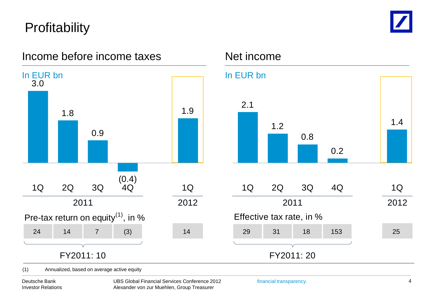# **Profitability**



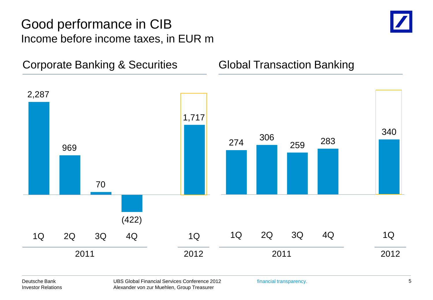### Good performance in CIB Income before income taxes, in EUR m



Corporate Banking & Securities **Global Transaction Banking** 

**Global Transaction Banking** 

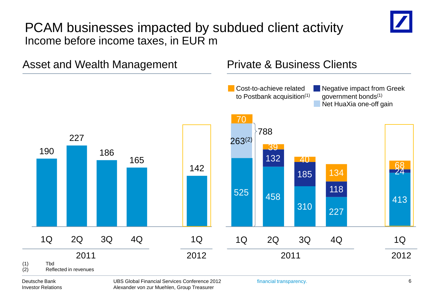#### PCAM businesses impacted by subdued client activity Income before income taxes, in EUR m



#### Deutsche Bank Investor Relations

UBS Global Financial Services Conference 2012 Alexander von zur Muehlen, Group Treasurer

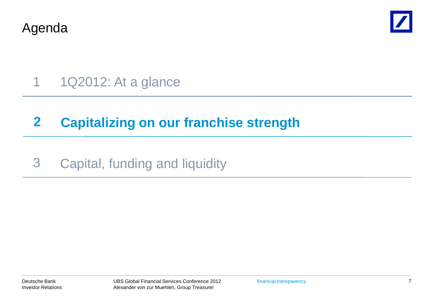Agenda



# 1 1Q2012: At a glance

## **2 Capitalizing on our franchise strength**

### 3 Capital, funding and liquidity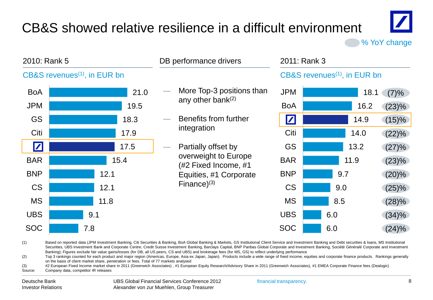# CB&S showed relative resilience in a difficult environment



% YoY change

| 2010: Rank 5                                                                                                                                                                                                                                                                                                                                                                                                                     |      | DB performance drivers                         |                      | 2011: Rank 3                             |     |      |          |  |  |
|----------------------------------------------------------------------------------------------------------------------------------------------------------------------------------------------------------------------------------------------------------------------------------------------------------------------------------------------------------------------------------------------------------------------------------|------|------------------------------------------------|----------------------|------------------------------------------|-----|------|----------|--|--|
| CB&S revenues <sup>(1)</sup> , in EUR bn                                                                                                                                                                                                                                                                                                                                                                                         |      |                                                |                      | CB&S revenues <sup>(1)</sup> , in EUR bn |     |      |          |  |  |
| <b>BoA</b>                                                                                                                                                                                                                                                                                                                                                                                                                       | 21.0 | More Top-3 positions than                      |                      | <b>JPM</b>                               |     | 18.1 | $(7) \%$ |  |  |
| <b>JPM</b>                                                                                                                                                                                                                                                                                                                                                                                                                       | 19.5 |                                                | any other bank $(2)$ | <b>BoA</b>                               |     | 16.2 | (23)%    |  |  |
| <b>GS</b>                                                                                                                                                                                                                                                                                                                                                                                                                        | 18.3 | Benefits from further                          |                      | $\boldsymbol{Z}$                         |     | 14.9 | (15)%    |  |  |
| Citi                                                                                                                                                                                                                                                                                                                                                                                                                             | 17.9 | integration                                    |                      | Citi                                     |     | 14.0 | $(22)\%$ |  |  |
| $\boldsymbol{\mathbf{Z}}$                                                                                                                                                                                                                                                                                                                                                                                                        | 17.5 | Partially offset by                            |                      | <b>GS</b>                                |     | 13.2 | (27)%    |  |  |
| <b>BAR</b>                                                                                                                                                                                                                                                                                                                                                                                                                       | 15.4 | overweight to Europe                           |                      | <b>BAR</b>                               |     | 11.9 | $(23)\%$ |  |  |
| <b>BNP</b>                                                                                                                                                                                                                                                                                                                                                                                                                       | 12.1 | (#2 Fixed Income, #1<br>Equities, #1 Corporate |                      | <b>BNP</b>                               |     | 9.7  | $(20)\%$ |  |  |
| <b>CS</b>                                                                                                                                                                                                                                                                                                                                                                                                                        | 12.1 | Finance $(3)$                                  |                      | <b>CS</b>                                | 9.0 |      | $(25)\%$ |  |  |
| <b>MS</b>                                                                                                                                                                                                                                                                                                                                                                                                                        | 11.8 |                                                |                      | <b>MS</b>                                | 8.5 |      | $(28)\%$ |  |  |
| <b>UBS</b>                                                                                                                                                                                                                                                                                                                                                                                                                       | 9.1  |                                                |                      | <b>UBS</b>                               | 6.0 |      | (34)%    |  |  |
| <b>SOC</b>                                                                                                                                                                                                                                                                                                                                                                                                                       | 7.8  |                                                |                      | <b>SOC</b>                               | 6.0 |      | $(24)\%$ |  |  |
| (1)<br>Based on reported data (JPM Investment Banking, Citi Securities & Banking, BoA Global Banking & Markets, GS Institutional Client Service and Investment Banking and Debt securities & Ioans, MS Institutional<br>Securities, UBS Investment Bank and Corporate Centre, Credit Suisse Investment Banking, Barclays Capital, BNP Paribas Global Corporate and Investment Banking, Société Généralé Corporate and Investment |      |                                                |                      |                                          |     |      |          |  |  |

Banking); Figures exclude fair value gains/losses (for DB, all US peers, CS and UBS) and brokerage fees (for MS, GS) to reflect underlying performance

(2) Top 3 rankings counted for each product and major region (Americas, Europe, Asia ex Japan, Japan). Products include a wide range of fixed income, equities and corporate finance products. Rankings generally on the basis of client market share, penetration or fees. Total of 77 markets analysed

(3) #2 European Fixed Income market share in 2011 (Greenwich Associates) , #1 European Equity Research/Advisory Share in 2011 (Greenwich Associates), #1 EMEA Corporate Finance fees (Dealogic) Source: Company data, competitor IR releases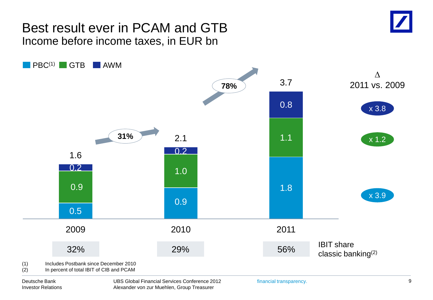#### Best result ever in PCAM and GTB Income before income taxes, in EUR bn



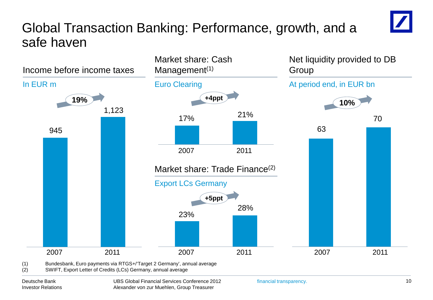## Global Transaction Banking: Performance, growth, and a safe haven

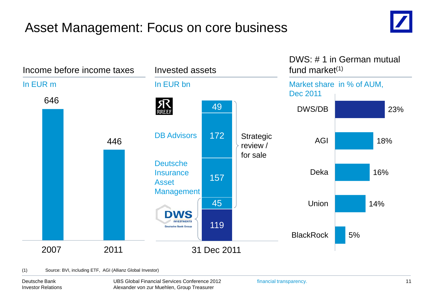# Asset Management: Focus on core business





(1) Source: BVI, including ETF, AGI (Allianz Global Investor)

Deutsche Bank Investor Relations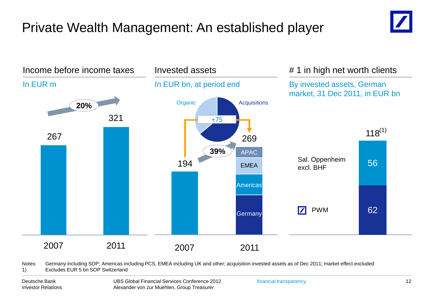# Private Wealth Management: An established player



Notes: Germany including SOP; Americas including PCS, EMEA including UK and other; acquisition invested assets as of Dec 2011; market effect excluded 1) Excludes EUR 5 bn SOP Switzerland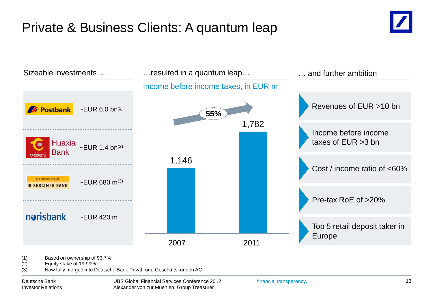# Private & Business Clients: A quantum leap





(2) Equity stake of 19.99%

(3) Now fully merged into Deutsche Bank Privat- und Geschäftskunden AG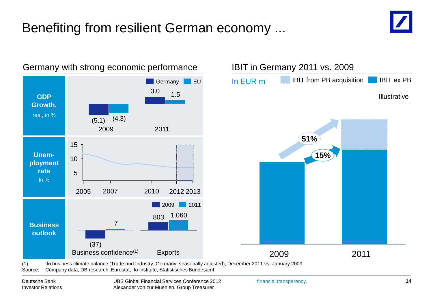# Benefiting from resilient German economy ...



#### Germany with strong economic performance



(1) Ifo business climate balance (Trade and Industry, Germany, seasonally adjusted), December 2011 vs. January 2009 Source: Company data, DB research, Eurostat, Ifo institute, Statistisches Bundesamt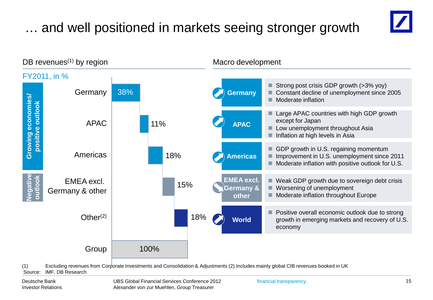# … and well positioned in markets seeing stronger growth





(1) Excluding revenues from Corporate Investments and Consolidation & Adjustments (2) Includes mainly global CIB revenues booked in UK Source: IMF, DB Research

Deutsche Bank Investor Relations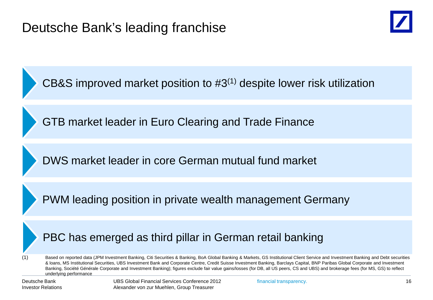

CB&S improved market position to #3(1) despite lower risk utilization

GTB market leader in Euro Clearing and Trade Finance

DWS market leader in core German mutual fund market

PWM leading position in private wealth management Germany

#### PBC has emerged as third pillar in German retail banking

(1) Based on reported data (JPM Investment Banking, Citi Securities & Banking, BoA Global Banking & Markets, GS Institutional Client Service and Investment Banking and Debt securities & loans, MS Institutional Securities, UBS Investment Bank and Corporate Centre, Credit Suisse Investment Banking, Barclays Capital, BNP Paribas Global Corporate and Investment Banking, Société Générale Corporate and Investment Banking); figures exclude fair value gains/losses (for DB, all US peers, CS and UBS) and brokerage fees (for MS, GS) to reflect underlying performance

Deutsche Bank Investor Relations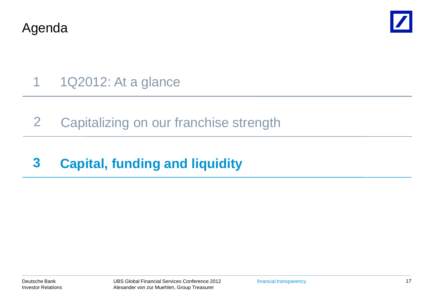Agenda



1 1Q2012: At a glance

2 Capitalizing on our franchise strength

# **3 Capital, funding and liquidity**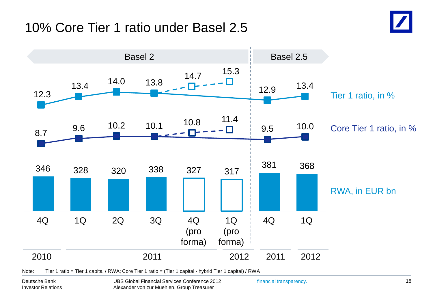### 10% Core Tier 1 ratio under Basel 2.5





Note: Tier 1 ratio = Tier 1 capital / RWA; Core Tier 1 ratio = (Tier 1 capital - hybrid Tier 1 capital) / RWA

Deutsche Bank Investor Relations UBS Global Financial Services Conference 2012 Alexander von zur Muehlen, Group Treasurer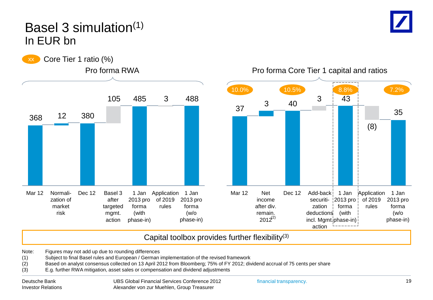#### Basel 3 simulation(1) In EUR bn





Pro forma Core Tier 1 capital and ratios



Capital toolbox provides further flexibility(3)

Note: Figures may not add up due to rounding differences

- (1) Subject to final Basel rules and European / German implementation of the revised framework<br>
(2) Based on analyst consensus collected on 13 April 2012 from Bloomberg; 75% of FY 2012; div
- Based on analyst consensus collected on 13 April 2012 from Bloomberg; 75% of FY 2012; dividend accrual of 75 cents per share
- (3) E.g. further RWA mitigation, asset sales or compensation and dividend adjustments

Deutsche Bank Investor Relations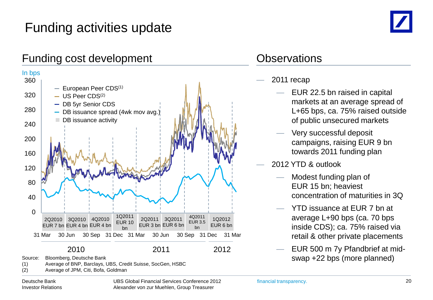# Funding activities update



#### Funding cost development Contact Contact Contact Contact Contact Contact Contact Contact Contact Contact Contact Contact Contact Contact Contact Contact Contact Contact Contact Contact Contact Contact Contact Contact Conta



Deutsche Bank Investor Relations UBS Global Financial Services Conference 2012 Alexander von zur Muehlen, Group Treasurer

- 2011 recap
	- EUR 22.5 bn raised in capital markets at an average spread of L+65 bps, ca. 75% raised outside of public unsecured markets
	- Very successful deposit campaigns, raising EUR 9 bn towards 2011 funding plan
- 2012 YTD & outlook
	- Modest funding plan of EUR 15 bn; heaviest concentration of maturities in 3Q
	- YTD issuance at EUR 7 bn at average L+90 bps (ca. 70 bps inside CDS); ca. 75% raised via retail & other private placements
	- EUR 500 m 7y Pfandbrief at midswap +22 bps (more planned)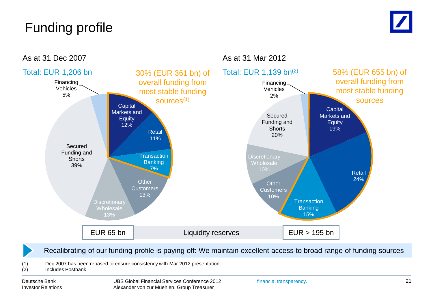# Funding profile



Recalibrating of our funding profile is paying off: We maintain excellent access to broad range of funding sources

(1) Dec 2007 has been rebased to ensure consistency with Mar 2012 presentation

#### (2) Includes Postbank

Deutsche Bank Investor Relations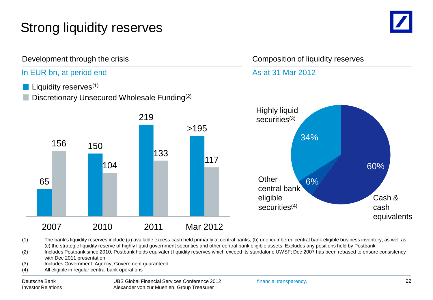# Strong liquidity reserves



#### In EUR bn, at period end

- Liquidity reserves<sup>(1)</sup>
- Discretionary Unsecured Wholesale Funding(2)



#### Development through the crisis Composition of liquidity reserves

#### As at 31 Mar 2012



(1) The bank's liquidity reserves include (a) available excess cash held primarily at central banks, (b) unencumbered central bank eligible business inventory, as well as (c) the strategic liquidity reserve of highly liquid government securities and other central bank eligible assets. Excludes any positions held by Postbank

(2) Includes Postbank since 2010, Postbank holds equivalent liquidity reserves which exceed its standalone UWSF; Dec 2007 has been rebased to ensure consistency with Dec 2011 presentation

- (3) Includes Government, Agency, Government guaranteed
- (4) All eligible in regular central bank operations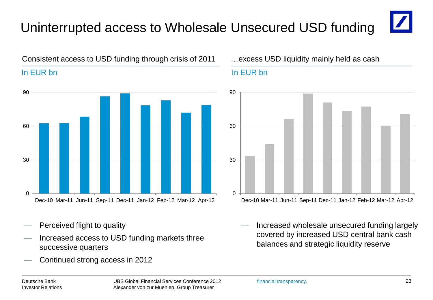# Uninterrupted access to Wholesale Unsecured USD funding



#### Consistent access to USD funding through crisis of 2011 …excess USD liquidity mainly held as cash

# $\Omega$ 30 60 90 Dec-10 Mar-11 Jun-11 Sep-11 Dec-11 Jan-12 Feb-12 Mar-12 Apr-12

- Perceived flight to quality
- Increased access to USD funding markets three successive quarters
- Continued strong access in 2012

#### In EUR bn In EUR bn



Increased wholesale unsecured funding largely covered by increased USD central bank cash balances and strategic liquidity reserve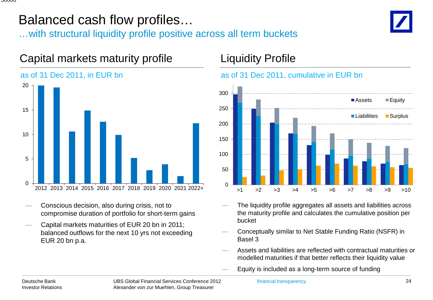### Balanced cash flow profiles…

Capital markets maturity profile

…with structural liquidity profile positive across all term buckets



# $\Omega$ 5 10 15 20 2012 2013 2014 2015 2016 2017 2018 2019 2020 2021 2022+ as of 31 Dec 2011, in EUR bn

- Conscious decision, also during crisis, not to compromise duration of portfolio for short-term gains
- Capital markets maturities of EUR 20 bn in 2011; balanced outflows for the next 10 yrs not exceeding EUR 20 bn p.a.

#### Liquidity Profile





- The liquidity profile aggregates all assets and liabilities across the maturity profile and calculates the cumulative position per bucket
- Conceptually similar to Net Stable Funding Ratio (NSFR) in Basel 3
- Assets and liabilities are reflected with contractual maturities or modelled maturities if that better reflects their liquidity value
- Equity is included as a long-term source of funding

#### Deutsche Bank Investor Relations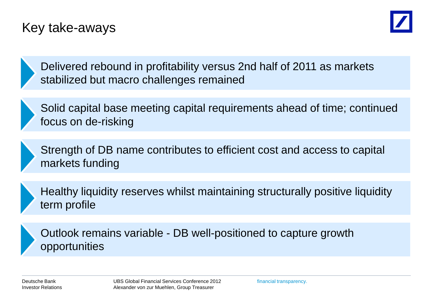### Key take-aways



Delivered rebound in profitability versus 2nd half of 2011 as markets stabilized but macro challenges remained

Solid capital base meeting capital requirements ahead of time; continued focus on de-risking

Strength of DB name contributes to efficient cost and access to capital markets funding

Healthy liquidity reserves whilst maintaining structurally positive liquidity term profile

Outlook remains variable - DB well-positioned to capture growth opportunities